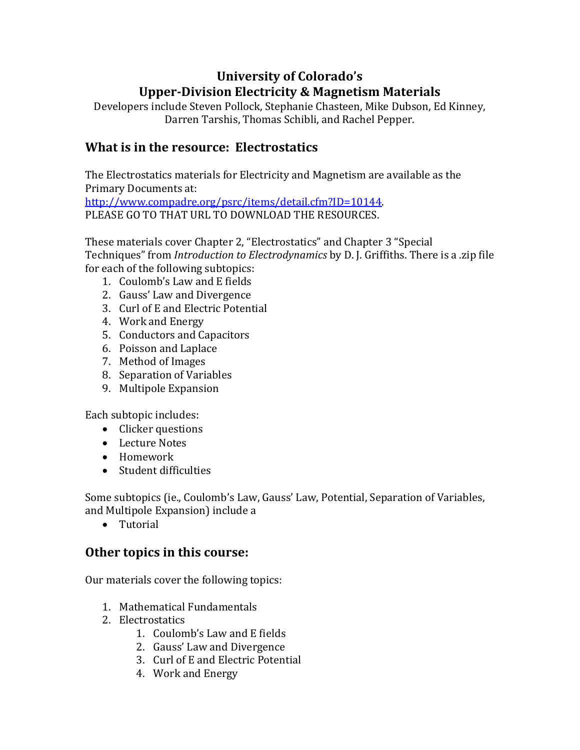# **University of Colorado's UpperDivision Electricity & Magnetism Materials**

Developers include Steven Pollock, Stephanie Chasteen, Mike Dubson, Ed Kinney, Darren Tarshis, Thomas Schibli, and Rachel Pepper.

### **What is in the resource: Electrostatics**

The Electrostatics materials for Electricity and Magnetism are available as the Primary Documents at: http://www.compadre.org/psrc/items/detail.cfm?ID=10144. PLEASE GO TO THAT URL TO DOWNLOAD THE RESOURCES.

These materials cover Chapter 2, "Electrostatics" and Chapter 3 "Special Techniques" from *Introduction to Electrodynamics* by D. J. Griffiths. There is a .zip file for each of the following subtopics:

- 1. Coulomb's Law and E fields
- 2. Gauss' Law and Divergence
- 3. Curl of E and Electric Potential
- 4. Work and Energy
- 5. Conductors and Capacitors
- 6. Poisson and Laplace
- 7. Method of Images
- 8. Separation of Variables
- 9. Multipole Expansion

Each subtopic includes:

- Clicker questions
- Lecture Notes
- Homework
- Student difficulties

Some subtopics (ie., Coulomb's Law, Gauss' Law, Potential, Separation of Variables, and Multipole Expansion) include a

• Tutorial

### **Other topics in this course:**

Our materials cover the following topics:

- 1. Mathematical Fundamentals
- 2. Electrostatics
	- 1. Coulomb's Law and E fields
	- 2. Gauss' Law and Divergence
	- 3. Curl of E and Electric Potential
	- 4. Work and Energy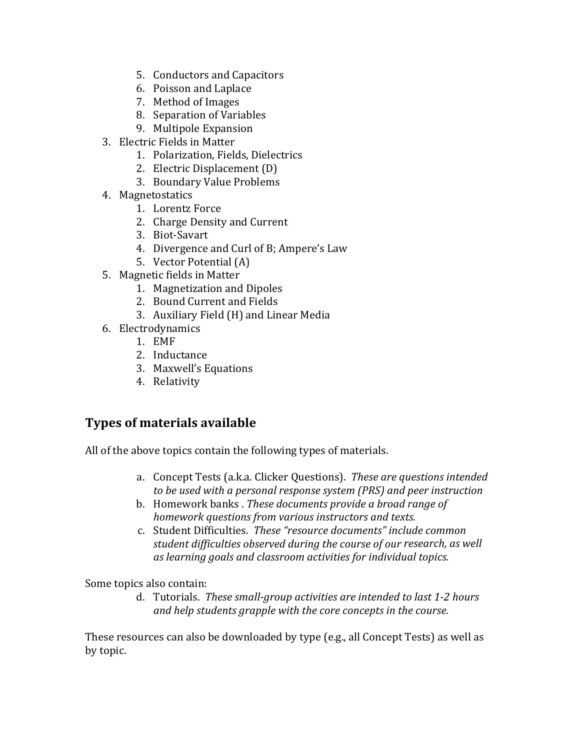- 5. Conductors and Capacitors
- 6. Poisson and Laplace
- 7. Method of Images
- 8. Separation of Variables
- 9. Multipole Expansion
- 3. Electric Fields in Matter
	- 1. Polarization, Fields, Dielectrics
	- 2. Electric Displacement (D)
	- 3. Boundary Value Problems
- 4. Magnetostatics
	- 1. Lorentz Force
	- 2. Charge Density and Current
	- 3. Biot‐Savart
	- 4. Divergence and Curl of B; Ampere's Law
	- 5. Vector Potential (A)
- 5. Magnetic fields in Matter
	- 1. Magnetization and Dipoles
	- 2. Bound Current and Fields
	- 3. Auxiliary Field (H) and Linear Media
- 6. Electrodynamics
	- 1. EMF
	- 2. Inductance
	- 3. Maxwell's Equations
	- 4. Relativity

### **Types of materials available**

All of the above topics contain the following types of materials.

- a. Concept Tests (a.k.a. Clicker Questions). *These are questions intended to be used with a personal response system (PRS) and peer instruction*
- b. Homework banks . *These documents provide a broad range of homework questions from various instructors and texts.*
- c. Student Difficulties. *These "resource documents" include common student difficulties observed during the course of our research, as well as learning goals and classroom activities for individual topics.*

Some topics also contain:

d. Tutorials. *These smallgroup activities are intended to last 12 hours and help students grapple with the core concepts in the course.*

These resources can also be downloaded by type (e.g., all Concept Tests) as well as by topic.